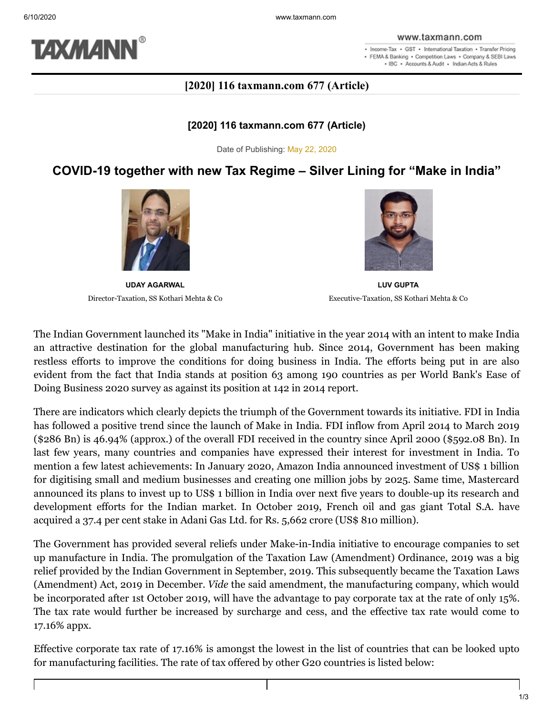

#### www.taxmann.com

. Income-Tax . GST . International Taxation . Transfer Pricing · FEMA & Banking · Competition Laws · Company & SEBI Laws . IBC . Accounts & Audit . Indian Acts & Rules

## **[2020] 116 taxmann.com 677 (Article)**

### **[2020] 116 taxmann.com 677 (Article)**

Date of Publishing: May 22, 2020

# **COVID-19 together with new Tax Regime – Silver Lining for "Make in India"**



**UDAY AGARWAL** Director-Taxation, SS Kothari Mehta & Co



**LUV GUPTA** Executive-Taxation, SS Kothari Mehta & Co

The Indian Government launched its "Make in India" initiative in the year 2014 with an intent to make India an attractive destination for the global manufacturing hub. Since 2014, Government has been making restless efforts to improve the conditions for doing business in India. The efforts being put in are also evident from the fact that India stands at position 63 among 190 countries as per World Bank's Ease of Doing Business 2020 survey as against its position at 142 in 2014 report.

There are indicators which clearly depicts the triumph of the Government towards its initiative. FDI in India has followed a positive trend since the launch of Make in India. FDI inflow from April 2014 to March 2019 (\$286 Bn) is 46.94% (approx.) of the overall FDI received in the country since April 2000 (\$592.08 Bn). In last few years, many countries and companies have expressed their interest for investment in India. To mention a few latest achievements: In January 2020, Amazon India announced investment of US\$ 1 billion for digitising small and medium businesses and creating one million jobs by 2025. Same time, Mastercard announced its plans to invest up to US\$ 1 billion in India over next five years to double-up its research and development efforts for the Indian market. In October 2019, French oil and gas giant Total S.A. have acquired a 37.4 per cent stake in Adani Gas Ltd. for Rs. 5,662 crore (US\$ 810 million).

The Government has provided several reliefs under Make-in-India initiative to encourage companies to set up manufacture in India. The promulgation of the Taxation Law (Amendment) Ordinance, 2019 was a big relief provided by the Indian Government in September, 2019. This subsequently became the Taxation Laws (Amendment) Act, 2019 in December. *Vide* the said amendment, the manufacturing company, which would be incorporated after 1st October 2019, will have the advantage to pay corporate tax at the rate of only 15%. The tax rate would further be increased by surcharge and cess, and the effective tax rate would come to 17.16% appx.

Effective corporate tax rate of 17.16% is amongst the lowest in the list of countries that can be looked upto for manufacturing facilities. The rate of tax offered by other G20 countries is listed below: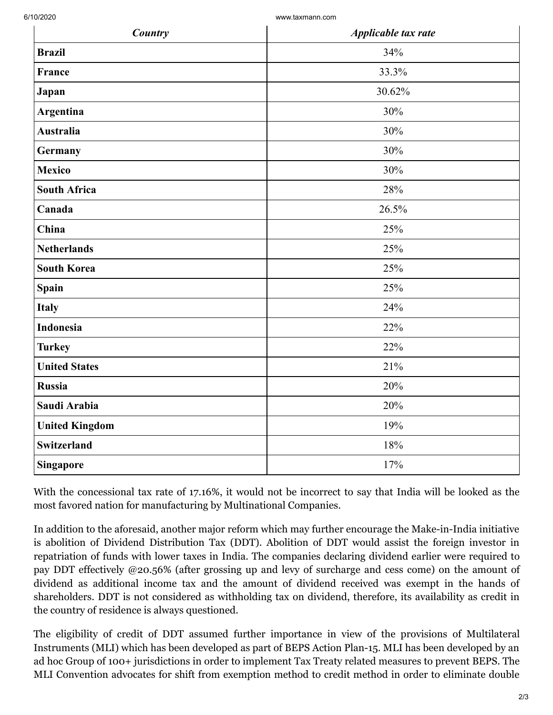6/10/2020 www.taxmann.com

| Country               | Applicable tax rate |
|-----------------------|---------------------|
| <b>Brazil</b>         | 34%                 |
| France                | 33.3%               |
| Japan                 | 30.62%              |
| <b>Argentina</b>      | 30%                 |
| <b>Australia</b>      | 30%                 |
| Germany               | 30%                 |
| <b>Mexico</b>         | 30%                 |
| <b>South Africa</b>   | 28%                 |
| Canada                | 26.5%               |
| China                 | 25%                 |
| <b>Netherlands</b>    | 25%                 |
| <b>South Korea</b>    | 25%                 |
| <b>Spain</b>          | 25%                 |
| <b>Italy</b>          | 24%                 |
| <b>Indonesia</b>      | 22%                 |
| <b>Turkey</b>         | 22%                 |
| <b>United States</b>  | 21%                 |
| <b>Russia</b>         | 20%                 |
| Saudi Arabia          | 20%                 |
| <b>United Kingdom</b> | 19%                 |
| <b>Switzerland</b>    | 18%                 |
| <b>Singapore</b>      | 17%                 |

With the concessional tax rate of 17.16%, it would not be incorrect to say that India will be looked as the most favored nation for manufacturing by Multinational Companies.

In addition to the aforesaid, another major reform which may further encourage the Make-in-India initiative is abolition of Dividend Distribution Tax (DDT). Abolition of DDT would assist the foreign investor in repatriation of funds with lower taxes in India. The companies declaring dividend earlier were required to pay DDT effectively @20.56% (after grossing up and levy of surcharge and cess come) on the amount of dividend as additional income tax and the amount of dividend received was exempt in the hands of shareholders. DDT is not considered as withholding tax on dividend, therefore, its availability as credit in the country of residence is always questioned.

The eligibility of credit of DDT assumed further importance in view of the provisions of Multilateral Instruments (MLI) which has been developed as part of BEPS Action Plan-15. MLI has been developed by an ad hoc Group of 100+ jurisdictions in order to implement Tax Treaty related measures to prevent BEPS. The MLI Convention advocates for shift from exemption method to credit method in order to eliminate double